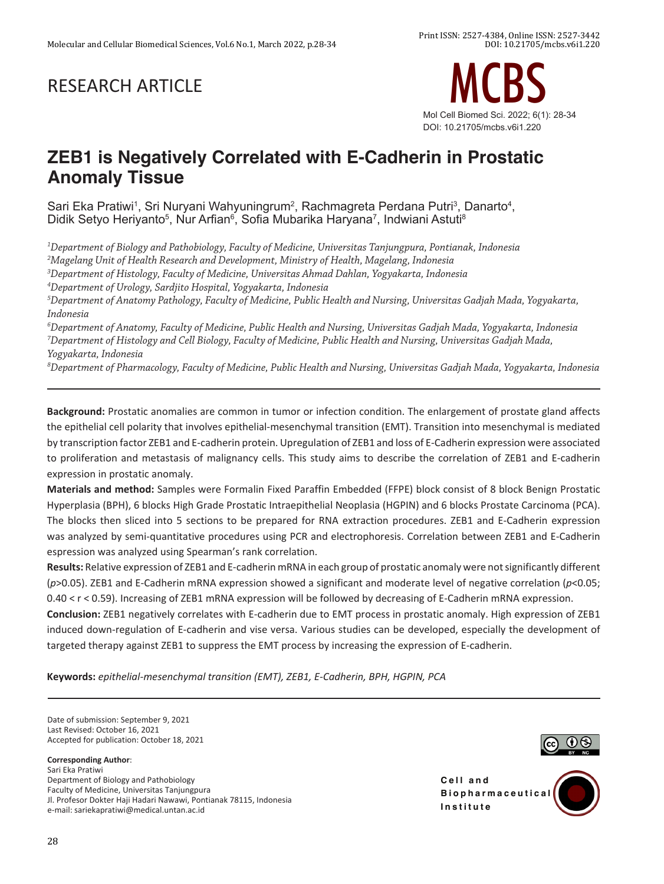# RESEARCH ARTICLE



## **ZEB1 is Negatively Correlated with E-Cadherin in Prostatic Anomaly Tissue**

Sari Eka Pratiwi<sup>1</sup>, Sri Nuryani Wahyuningrum<sup>2</sup>, Rachmagreta Perdana Putri<sup>3</sup>, Danarto<sup>4</sup>, Didik Setyo Heriyanto<sup>s</sup>, Nur Arfian<sup>s</sup>, Sofia Mubarika Haryana<sup>7</sup>, Indwiani Astuti<sup>s</sup>

*1 Department of Biology and Pathobiology, Faculty of Medicine, Universitas Tanjungpura, Pontianak, Indonesia 2 Magelang Unit of Health Research and Development, Ministry of Health, Magelang, Indonesia 3 Department of Histology, Faculty of Medicine, Universitas Ahmad Dahlan, Yogyakarta, Indonesia*

*4 Department of Urology, Sardjito Hospital, Yogyakarta, Indonesia*

*5 Department of Anatomy Pathology, Faculty of Medicine, Public Health and Nursing, Universitas Gadjah Mada, Yogyakarta, Indonesia*

*6 Department of Anatomy, Faculty of Medicine, Public Health and Nursing, Universitas Gadjah Mada, Yogyakarta, Indonesia* <sup>7</sup>Department of Histology and Cell Biology, Faculty of Medicine, Public Health and Nursing, Universitas Gadjah Mada, *Yogyakarta, Indonesia*

*8 Department of Pharmacology, Faculty of Medicine, Public Health and Nursing, Universitas Gadjah Mada, Yogyakarta, Indonesia*

**Background:** Prostatic anomalies are common in tumor or infection condition. The enlargement of prostate gland affects the epithelial cell polarity that involves epithelial-mesenchymal transition (EMT). Transition into mesenchymal is mediated by transcription factor ZEB1 and E-cadherin protein. Upregulation of ZEB1 and loss of E-Cadherin expression were associated to proliferation and metastasis of malignancy cells. This study aims to describe the correlation of ZEB1 and E-cadherin expression in prostatic anomaly.

**Materials and method:** Samples were Formalin Fixed Paraffin Embedded (FFPE) block consist of 8 block Benign Prostatic Hyperplasia (BPH), 6 blocks High Grade Prostatic Intraepithelial Neoplasia (HGPIN) and 6 blocks Prostate Carcinoma (PCA). The blocks then sliced into 5 sections to be prepared for RNA extraction procedures. ZEB1 and E-Cadherin expression was analyzed by semi-quantitative procedures using PCR and electrophoresis. Correlation between ZEB1 and E-Cadherin espression was analyzed using Spearman's rank correlation.

**Results:** Relative expression of ZEB1 and E-cadherin mRNA in each group of prostatic anomaly were not significantly different (*p*>0.05). ZEB1 and E-Cadherin mRNA expression showed a significant and moderate level of negative correlation (*p*<0.05; 0.40 < r < 0.59). Increasing of ZEB1 mRNA expression will be followed by decreasing of E-Cadherin mRNA expression.

**Conclusion:** ZEB1 negatively correlates with E-cadherin due to EMT process in prostatic anomaly. High expression of ZEB1 induced down-regulation of E-cadherin and vise versa. Various studies can be developed, especially the development of targeted therapy against ZEB1 to suppress the EMT process by increasing the expression of E-cadherin.

**Keywords:** *epithelial-mesenchymal transition (EMT), ZEB1, E-Cadherin, BPH, HGPIN, PCA*

Date of submission: September 9, 2021 Last Revised: October 16, 2021 Accepted for publication: October 18, 2021

#### **Corresponding Author**:

Sari Eka Pratiwi Department of Biology and Pathobiology Faculty of Medicine, Universitas Tanjungpura Jl. Profesor Dokter Haji Hadari Nawawi, Pontianak 78115, Indonesia e-mail: sariekapratiwi@medical.untan.ac.id



**Cell** and **B i o p h a r m a c e u t i c a l Institute**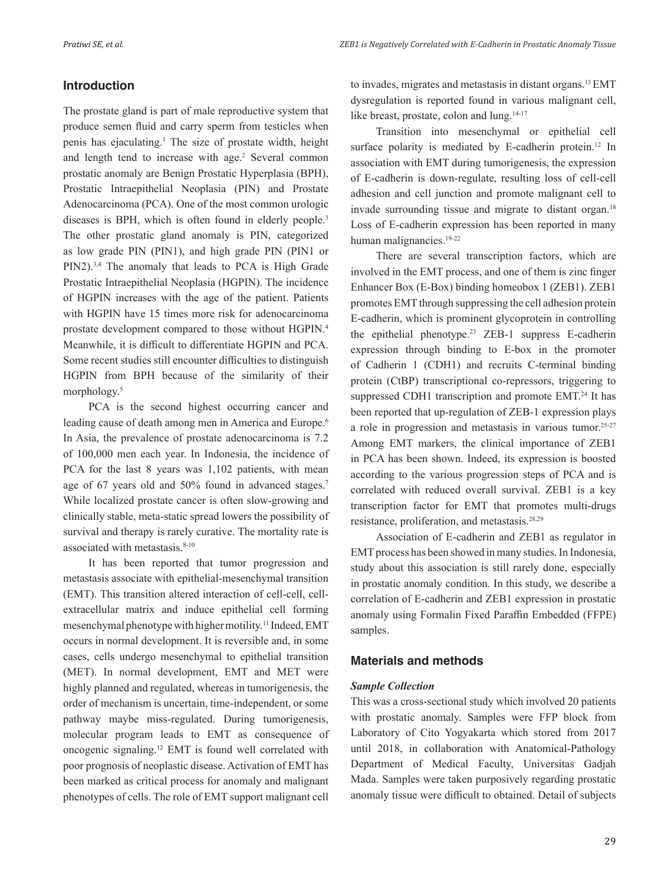### **Introduction**

The prostate gland is part of male reproductive system that produce semen fluid and carry sperm from testicles when penis has ejaculating.<sup>1</sup> The size of prostate width, height and length tend to increase with age.<sup>2</sup> Several common prostatic anomaly are Benign Prostatic Hyperplasia (BPH), Prostatic Intraepithelial Neoplasia (PIN) and Prostate Adenocarcinoma (PCA). One of the most common urologic diseases is BPH, which is often found in elderly people.<sup>3</sup> The other prostatic gland anomaly is PIN, categorized as low grade PIN (PIN1), and high grade PIN (PIN1 or PIN2).3,4 The anomaly that leads to PCA is High Grade Prostatic Intraepithelial Neoplasia (HGPIN). The incidence of HGPIN increases with the age of the patient. Patients with HGPIN have 15 times more risk for adenocarcinoma prostate development compared to those without HGPIN.4 Meanwhile, it is difficult to differentiate HGPIN and PCA. Some recent studies still encounter difficulties to distinguish HGPIN from BPH because of the similarity of their morphology.<sup>5</sup>

PCA is the second highest occurring cancer and leading cause of death among men in America and Europe.<sup>6</sup> In Asia, the prevalence of prostate adenocarcinoma is 7.2 of 100,000 men each year. In Indonesia, the incidence of PCA for the last 8 years was 1,102 patients, with mean age of 67 years old and 50% found in advanced stages.7 While localized prostate cancer is often slow-growing and clinically stable, meta-static spread lowers the possibility of survival and therapy is rarely curative. The mortality rate is associated with metastasis.<sup>8-10</sup>

It has been reported that tumor progression and metastasis associate with epithelial-mesenchymal transition (EMT). This transition altered interaction of cell-cell, cellextracellular matrix and induce epithelial cell forming mesenchymal phenotype with higher motility.<sup>11</sup> Indeed, EMT occurs in normal development. It is reversible and, in some cases, cells undergo mesenchymal to epithelial transition (MET). In normal development, EMT and MET were highly planned and regulated, whereas in tumorigenesis, the order of mechanism is uncertain, time-independent, or some pathway maybe miss-regulated. During tumorigenesis, molecular program leads to EMT as consequence of oncogenic signaling.12 EMT is found well correlated with poor prognosis of neoplastic disease. Activation of EMT has been marked as critical process for anomaly and malignant phenotypes of cells. The role of EMT support malignant cell to invades, migrates and metastasis in distant organs.13 EMT dysregulation is reported found in various malignant cell, like breast, prostate, colon and lung.<sup>14-17</sup>

Transition into mesenchymal or epithelial cell surface polarity is mediated by E-cadherin protein.<sup>12</sup> In association with EMT during tumorigenesis, the expression of E-cadherin is down-regulate, resulting loss of cell-cell adhesion and cell junction and promote malignant cell to invade surrounding tissue and migrate to distant organ.<sup>18</sup> Loss of E-cadherin expression has been reported in many human malignancies.19-22

There are several transcription factors, which are involved in the EMT process, and one of them is zinc finger Enhancer Box (E-Box) binding homeobox 1 (ZEB1). ZEB1 promotes EMT through suppressing the cell adhesion protein E-cadherin, which is prominent glycoprotein in controlling the epithelial phenotype.<sup>23</sup> ZEB-1 suppress E-cadherin expression through binding to E-box in the promoter of Cadherin 1 (CDH1) and recruits C-terminal binding protein (CtBP) transcriptional co-repressors, triggering to suppressed CDH1 transcription and promote EMT.<sup>24</sup> It has been reported that up-regulation of ZEB-1 expression plays a role in progression and metastasis in various tumor.<sup>25-27</sup> Among EMT markers, the clinical importance of ZEB1 in PCA has been shown. Indeed, its expression is boosted according to the various progression steps of PCA and is correlated with reduced overall survival. ZEB1 is a key transcription factor for EMT that promotes multi-drugs resistance, proliferation, and metastasis.28,29

Association of E-cadherin and ZEB1 as regulator in EMT process has been showed in many studies. In Indonesia, study about this association is still rarely done, especially in prostatic anomaly condition. In this study, we describe a correlation of E-cadherin and ZEB1 expression in prostatic anomaly using Formalin Fixed Paraffin Embedded (FFPE) samples.

#### **Materials and methods**

#### *Sample Collection*

This was a cross-sectional study which involved 20 patients with prostatic anomaly. Samples were FFP block from Laboratory of Cito Yogyakarta which stored from 2017 until 2018, in collaboration with Anatomical-Pathology Department of Medical Faculty, Universitas Gadjah Mada. Samples were taken purposively regarding prostatic anomaly tissue were difficult to obtained. Detail of subjects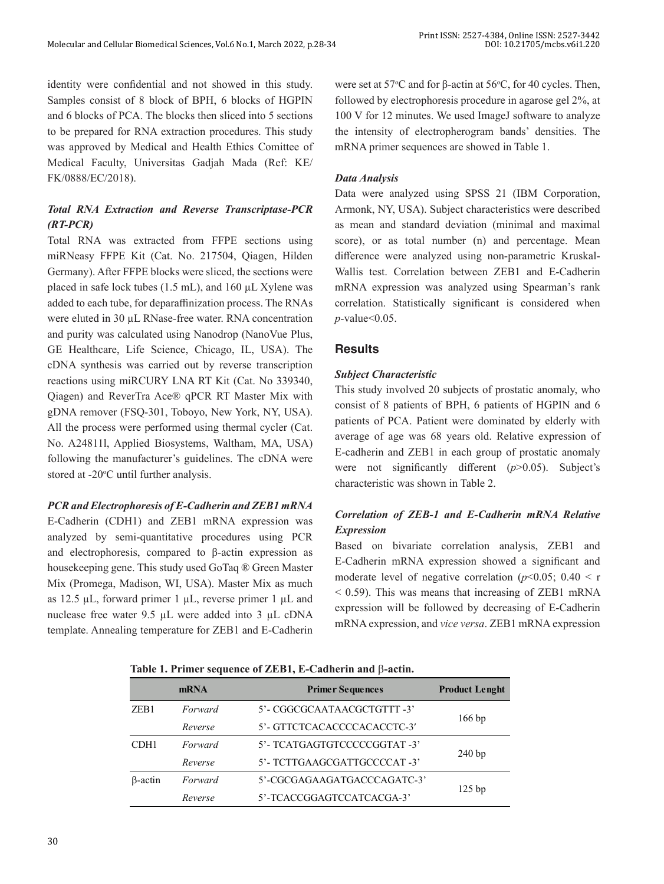identity were confidential and not showed in this study. Samples consist of 8 block of BPH, 6 blocks of HGPIN and 6 blocks of PCA. The blocks then sliced into 5 sections to be prepared for RNA extraction procedures. This study was approved by Medical and Health Ethics Comittee of Medical Faculty, Universitas Gadjah Mada (Ref: KE/ FK/0888/EC/2018).

## *Total RNA Extraction and Reverse Transcriptase-PCR (RT-PCR)*

Total RNA was extracted from FFPE sections using miRNeasy FFPE Kit (Cat. No. 217504, Qiagen, Hilden Germany). After FFPE blocks were sliced, the sections were placed in safe lock tubes (1.5 mL), and 160 µL Xylene was added to each tube, for deparaffinization process. The RNAs were eluted in 30 µL RNase-free water. RNA concentration and purity was calculated using Nanodrop (NanoVue Plus, GE Healthcare, Life Science, Chicago, IL, USA). The cDNA synthesis was carried out by reverse transcription reactions using miRCURY LNA RT Kit (Cat. No 339340, Qiagen) and ReverTra Ace® qPCR RT Master Mix with gDNA remover (FSQ-301, Toboyo, New York, NY, USA). All the process were performed using thermal cycler (Cat. No. A24811l, Applied Biosystems, Waltham, MA, USA) following the manufacturer's guidelines. The cDNA were stored at -20°C until further analysis.

#### *PCR and Electrophoresis of E-Cadherin and ZEB1 mRNA*

E-Cadherin (CDH1) and ZEB1 mRNA expression was analyzed by semi-quantitative procedures using PCR and electrophoresis, compared to β-actin expression as housekeeping gene. This study used GoTaq ® Green Master Mix (Promega, Madison, WI, USA). Master Mix as much as 12.5  $\mu$ L, forward primer 1  $\mu$ L, reverse primer 1  $\mu$ L and nuclease free water 9.5 µL were added into 3 µL cDNA template. Annealing temperature for ZEB1 and E-Cadherin

were set at 57 $\degree$ C and for  $\beta$ -actin at 56 $\degree$ C, for 40 cycles. Then, followed by electrophoresis procedure in agarose gel 2%, at 100 V for 12 minutes. We used ImageJ software to analyze the intensity of electropherogram bands' densities. The mRNA primer sequences are showed in Table 1.

#### *Data Analysis*

Data were analyzed using SPSS 21 (IBM Corporation, Armonk, NY, USA). Subject characteristics were described as mean and standard deviation (minimal and maximal score), or as total number (n) and percentage. Mean difference were analyzed using non-parametric Kruskal-Wallis test. Correlation between ZEB1 and E-Cadherin mRNA expression was analyzed using Spearman's rank correlation. Statistically significant is considered when *p*-value<0.05.

#### **Results**

#### *Subject Characteristic*

This study involved 20 subjects of prostatic anomaly, who consist of 8 patients of BPH, 6 patients of HGPIN and 6 patients of PCA. Patient were dominated by elderly with average of age was 68 years old. Relative expression of E-cadherin and ZEB1 in each group of prostatic anomaly were not significantly different (*p*>0.05). Subject's characteristic was shown in Table 2.

## *Correlation of ZEB-1 and E-Cadherin mRNA Relative Expression*

Based on bivariate correlation analysis, ZEB1 and E-Cadherin mRNA expression showed a significant and moderate level of negative correlation ( $p$ <0.05; 0.40 < r  $<$  0.59). This was means that increasing of ZEB1 mRNA expression will be followed by decreasing of E-Cadherin mRNA expression, and *vice versa*. ZEB1 mRNA expression

**Table 1. Primer sequence of ZEB1, E-Cadherin and** b**-actin.**

|                  | mRNA    | <b>Primer Sequences</b>      | <b>Product Lenght</b> |  |
|------------------|---------|------------------------------|-----------------------|--|
| ZEB <sub>1</sub> | Forward | 5'- CGGCGCAATAACGCTGTTT -3'  |                       |  |
|                  | Reverse | 5'- GTTCTCACACCCCACACCTC-3'  | $166$ bp              |  |
| CDH <sub>1</sub> | Forward | 5'- TCATGAGTGTCCCCCGGTAT -3' |                       |  |
|                  | Reverse | 5'- TCTTGAAGCGATTGCCCCAT-3'  | 240bp                 |  |
| $\beta$ -actin   | Forward | 5'-CGCGAGAAGATGACCCAGATC-3'  | $125$ bp              |  |
|                  | Reverse | 5'-TCACCGGAGTCCATCACGA-3'    |                       |  |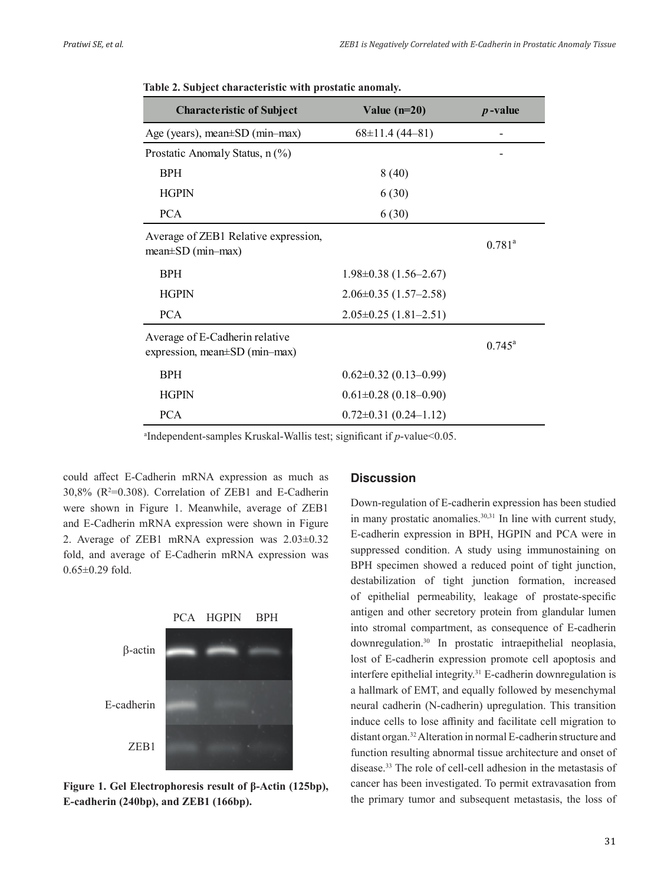| <b>Characteristic of Subject</b>                                | Value $(n=20)$              | $p$ -value      |
|-----------------------------------------------------------------|-----------------------------|-----------------|
| Age (years), mean $\pm$ SD (min-max)                            | $68 \pm 11.4$ (44–81)       |                 |
| Prostatic Anomaly Status, n (%)                                 |                             |                 |
| <b>BPH</b>                                                      | 8(40)                       |                 |
| <b>HGPIN</b>                                                    | 6(30)                       |                 |
| <b>PCA</b>                                                      | 6(30)                       |                 |
| Average of ZEB1 Relative expression,<br>$mean \pm SD$ (min-max) |                             | $0.781^{a}$     |
| <b>BPH</b>                                                      | $1.98 \pm 0.38$ (1.56–2.67) |                 |
| <b>HGPIN</b>                                                    | $2.06 \pm 0.35$ (1.57-2.58) |                 |
| <b>PCA</b>                                                      | $2.05 \pm 0.25$ (1.81-2.51) |                 |
| Average of E-Cadherin relative<br>expression, mean±SD (min–max) |                             | $0.745^{\circ}$ |
| <b>BPH</b>                                                      | $0.62 \pm 0.32$ (0.13-0.99) |                 |
| <b>HGPIN</b>                                                    | $0.61 \pm 0.28$ (0.18-0.90) |                 |
| <b>PCA</b>                                                      | $0.72 \pm 0.31$ (0.24-1.12) |                 |

**Table 2. Subject characteristic with prostatic anomaly.**

a Independent-samples Kruskal-Wallis test; significant if *p*-value<0.05.

could affect E-Cadherin mRNA expression as much as  $30,8\%$  ( $R^2=0.308$ ). Correlation of ZEB1 and E-Cadherin were shown in Figure 1. Meanwhile, average of ZEB1 and E-Cadherin mRNA expression were shown in Figure 2. Average of ZEB1 mRNA expression was 2.03±0.32 fold, and average of E-Cadherin mRNA expression was 0.65±0.29 fold.



PCA HGPIN BPH

**Figure 1. Gel Electrophoresis result of β-Actin (125bp), E-cadherin (240bp), and ZEB1 (166bp).**

### **Discussion**

Down-regulation of E-cadherin expression has been studied in many prostatic anomalies.<sup>30,31</sup> In line with current study, E-cadherin expression in BPH, HGPIN and PCA were in suppressed condition. A study using immunostaining on BPH specimen showed a reduced point of tight junction, destabilization of tight junction formation, increased of epithelial permeability, leakage of prostate-specific antigen and other secretory protein from glandular lumen into stromal compartment, as consequence of E-cadherin downregulation.<sup>30</sup> In prostatic intraepithelial neoplasia, lost of E-cadherin expression promote cell apoptosis and interfere epithelial integrity.<sup>31</sup> E-cadherin downregulation is a hallmark of EMT, and equally followed by mesenchymal neural cadherin (N-cadherin) upregulation. This transition induce cells to lose affinity and facilitate cell migration to distant organ.32 Alteration in normal E-cadherin structure and function resulting abnormal tissue architecture and onset of disease.33 The role of cell-cell adhesion in the metastasis of cancer has been investigated. To permit extravasation from the primary tumor and subsequent metastasis, the loss of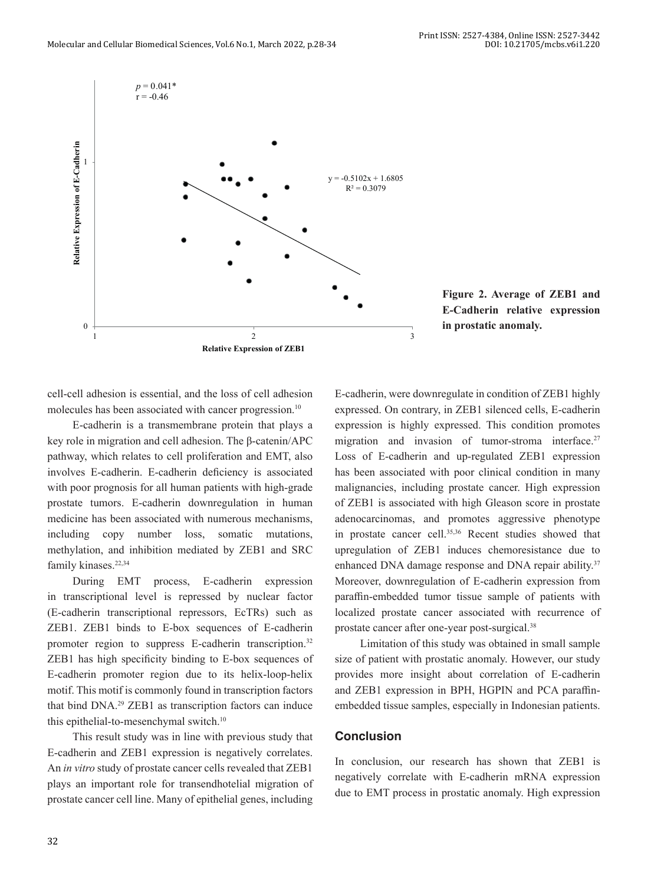

**Figure 2. Average of ZEB1 and E-Cadherin relative expression in prostatic anomaly.**

cell-cell adhesion is essential, and the loss of cell adhesion molecules has been associated with cancer progression.<sup>10</sup>

E-cadherin is a transmembrane protein that plays a key role in migration and cell adhesion. The β-catenin/APC pathway, which relates to cell proliferation and EMT, also involves E-cadherin. E-cadherin deficiency is associated with poor prognosis for all human patients with high-grade prostate tumors. E-cadherin downregulation in human medicine has been associated with numerous mechanisms, including copy number loss, somatic mutations, methylation, and inhibition mediated by ZEB1 and SRC family kinases.<sup>22,34</sup>

During EMT process, E-cadherin expression in transcriptional level is repressed by nuclear factor (E-cadherin transcriptional repressors, EcTRs) such as ZEB1. ZEB1 binds to E-box sequences of E-cadherin promoter region to suppress E-cadherin transcription.<sup>32</sup> ZEB1 has high specificity binding to E-box sequences of E-cadherin promoter region due to its helix-loop-helix motif. This motif is commonly found in transcription factors that bind DNA.<sup>29</sup> ZEB1 as transcription factors can induce this epithelial-to-mesenchymal switch.<sup>10</sup>

This result study was in line with previous study that E-cadherin and ZEB1 expression is negatively correlates. An *in vitro* study of prostate cancer cells revealed that ZEB1 plays an important role for transendhotelial migration of prostate cancer cell line. Many of epithelial genes, including

E-cadherin, were downregulate in condition of ZEB1 highly expressed. On contrary, in ZEB1 silenced cells, E-cadherin expression is highly expressed. This condition promotes migration and invasion of tumor-stroma interface.<sup>27</sup> Loss of E-cadherin and up-regulated ZEB1 expression has been associated with poor clinical condition in many malignancies, including prostate cancer. High expression of ZEB1 is associated with high Gleason score in prostate adenocarcinomas, and promotes aggressive phenotype in prostate cancer cell.<sup>35,36</sup> Recent studies showed that upregulation of ZEB1 induces chemoresistance due to enhanced DNA damage response and DNA repair ability.<sup>37</sup> Moreover, downregulation of E-cadherin expression from paraffin-embedded tumor tissue sample of patients with localized prostate cancer associated with recurrence of prostate cancer after one-year post-surgical.<sup>38</sup>

Limitation of this study was obtained in small sample size of patient with prostatic anomaly. However, our study provides more insight about correlation of E-cadherin and ZEB1 expression in BPH, HGPIN and PCA paraffinembedded tissue samples, especially in Indonesian patients.

#### **Conclusion**

In conclusion, our research has shown that ZEB1 is negatively correlate with E-cadherin mRNA expression due to EMT process in prostatic anomaly. High expression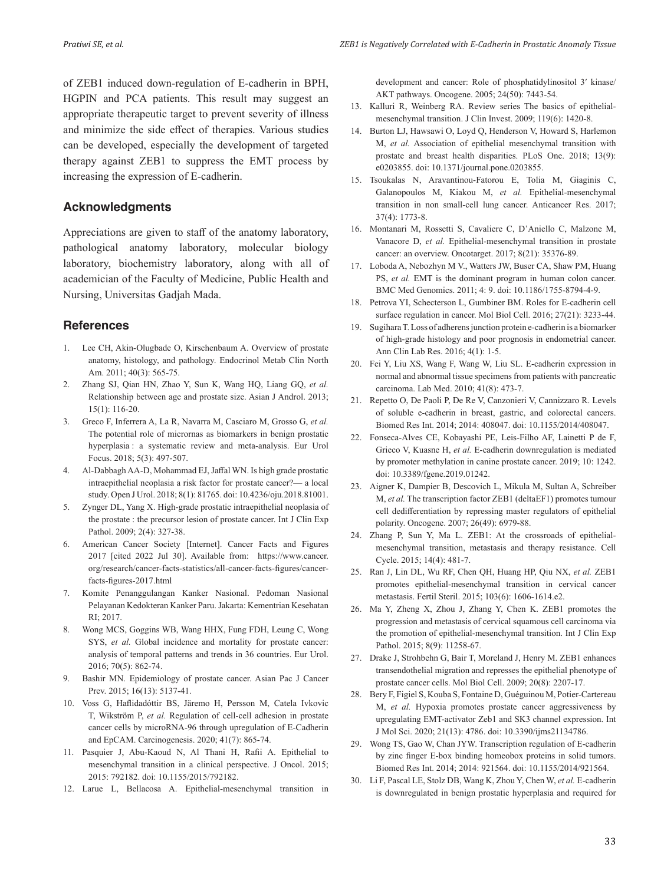of ZEB1 induced down-regulation of E-cadherin in BPH, HGPIN and PCA patients. This result may suggest an appropriate therapeutic target to prevent severity of illness and minimize the side effect of therapies. Various studies can be developed, especially the development of targeted therapy against ZEB1 to suppress the EMT process by increasing the expression of E-cadherin.

## **Acknowledgments**

Appreciations are given to staff of the anatomy laboratory, pathological anatomy laboratory, molecular biology laboratory, biochemistry laboratory, along with all of academician of the Faculty of Medicine, Public Health and Nursing, Universitas Gadjah Mada.

#### **References**

- 1. Lee CH, Akin-Olugbade O, Kirschenbaum A. Overview of prostate anatomy, histology, and pathology. Endocrinol Metab Clin North Am. 2011; 40(3): 565-75.
- 2. Zhang SJ, Qian HN, Zhao Y, Sun K, Wang HQ, Liang GQ, *et al.*  Relationship between age and prostate size. Asian J Androl. 2013; 15(1): 116-20.
- 3. Greco F, Inferrera A, La R, Navarra M, Casciaro M, Grosso G, *et al.*  The potential role of micrornas as biomarkers in benign prostatic hyperplasia : a systematic review and meta-analysis. Eur Urol Focus. 2018; 5(3): 497-507.
- 4. Al-Dabbagh AA-D, Mohammad EJ, Jaffal WN. Is high grade prostatic intraepithelial neoplasia a risk factor for prostate cancer?— a local study. Open J Urol. 2018; 8(1): 81765. doi: 10.4236/oju.2018.81001.
- 5. Zynger DL, Yang X. High-grade prostatic intraepithelial neoplasia of the prostate : the precursor lesion of prostate cancer. Int J Clin Exp Pathol. 2009; 2(4): 327-38.
- 6. American Cancer Society [Internet]. Cancer Facts and Figures 2017 [cited 2022 Jul 30]. Available from: https://www.cancer. org/research/cancer-facts-statistics/all-cancer-facts-figures/cancerfacts-figures-2017.html
- 7. Komite Penanggulangan Kanker Nasional. Pedoman Nasional Pelayanan Kedokteran Kanker Paru. Jakarta: Kementrian Kesehatan RI; 2017.
- 8. Wong MCS, Goggins WB, Wang HHX, Fung FDH, Leung C, Wong SYS, *et al.* Global incidence and mortality for prostate cancer: analysis of temporal patterns and trends in 36 countries. Eur Urol. 2016; 70(5): 862-74.
- 9. Bashir MN. Epidemiology of prostate cancer. Asian Pac J Cancer Prev. 2015; 16(13): 5137-41.
- 10. Voss G, Haflidadóttir BS, Järemo H, Persson M, Catela Ivkovic T, Wikström P, *et al.* Regulation of cell-cell adhesion in prostate cancer cells by microRNA-96 through upregulation of E-Cadherin and EpCAM. Carcinogenesis. 2020; 41(7): 865-74.
- 11. Pasquier J, Abu-Kaoud N, Al Thani H, Rafii A. Epithelial to mesenchymal transition in a clinical perspective. J Oncol. 2015; 2015: 792182. doi: 10.1155/2015/792182.
- 12. Larue L, Bellacosa A. Epithelial-mesenchymal transition in

development and cancer: Role of phosphatidylinositol 3′ kinase/ AKT pathways. Oncogene. 2005; 24(50): 7443-54.

- 13. Kalluri R, Weinberg RA. Review series The basics of epithelialmesenchymal transition. J Clin Invest. 2009; 119(6): 1420-8.
- 14. Burton LJ, Hawsawi O, Loyd Q, Henderson V, Howard S, Harlemon M, *et al.* Association of epithelial mesenchymal transition with prostate and breast health disparities. PLoS One. 2018; 13(9): e0203855. doi: 10.1371/journal.pone.0203855.
- 15. Tsoukalas N, Aravantinou-Fatorou E, Tolia M, Giaginis C, Galanopoulos M, Kiakou M, *et al.* Epithelial-mesenchymal transition in non small-cell lung cancer. Anticancer Res. 2017; 37(4): 1773-8.
- 16. Montanari M, Rossetti S, Cavaliere C, D'Aniello C, Malzone M, Vanacore D, *et al.* Epithelial-mesenchymal transition in prostate cancer: an overview. Oncotarget. 2017; 8(21): 35376-89.
- 17. Loboda A, Nebozhyn M V., Watters JW, Buser CA, Shaw PM, Huang PS, *et al.* EMT is the dominant program in human colon cancer. BMC Med Genomics. 2011; 4: 9. doi: 10.1186/1755-8794-4-9.
- 18. Petrova YI, Schecterson L, Gumbiner BM. Roles for E-cadherin cell surface regulation in cancer. Mol Biol Cell. 2016; 27(21): 3233-44.
- 19. Sugihara T. Loss of adherens junction protein e-cadherin is a biomarker of high-grade histology and poor prognosis in endometrial cancer. Ann Clin Lab Res. 2016; 4(1): 1-5.
- 20. Fei Y, Liu XS, Wang F, Wang W, Liu SL. E-cadherin expression in normal and abnormal tissue specimens from patients with pancreatic carcinoma. Lab Med. 2010; 41(8): 473-7.
- 21. Repetto O, De Paoli P, De Re V, Canzonieri V, Cannizzaro R. Levels of soluble e-cadherin in breast, gastric, and colorectal cancers. Biomed Res Int. 2014; 2014: 408047. doi: 10.1155/2014/408047.
- 22. Fonseca-Alves CE, Kobayashi PE, Leis-Filho AF, Lainetti P de F, Grieco V, Kuasne H, *et al.* E-cadherin downregulation is mediated by promoter methylation in canine prostate cancer. 2019; 10: 1242. doi: 10.3389/fgene.2019.01242.
- 23. Aigner K, Dampier B, Descovich L, Mikula M, Sultan A, Schreiber M, *et al.* The transcription factor ZEB1 (deltaEF1) promotes tumour cell dedifferentiation by repressing master regulators of epithelial polarity. Oncogene. 2007; 26(49): 6979-88.
- 24. Zhang P, Sun Y, Ma L. ZEB1: At the crossroads of epithelialmesenchymal transition, metastasis and therapy resistance. Cell Cycle. 2015; 14(4): 481-7.
- 25. Ran J, Lin DL, Wu RF, Chen QH, Huang HP, Qiu NX, *et al.* ZEB1 promotes epithelial-mesenchymal transition in cervical cancer metastasis. Fertil Steril. 2015; 103(6): 1606-1614.e2.
- 26. Ma Y, Zheng X, Zhou J, Zhang Y, Chen K. ZEB1 promotes the progression and metastasis of cervical squamous cell carcinoma via the promotion of epithelial-mesenchymal transition. Int J Clin Exp Pathol. 2015; 8(9): 11258-67.
- 27. Drake J, Strohbehn G, Bair T, Moreland J, Henry M. ZEB1 enhances transendothelial migration and represses the epithelial phenotype of prostate cancer cells. Mol Biol Cell. 2009; 20(8): 2207-17.
- 28. Bery F, Figiel S, Kouba S, Fontaine D, Guéguinou M, Potier-Cartereau M, *et al.* Hypoxia promotes prostate cancer aggressiveness by upregulating EMT-activator Zeb1 and SK3 channel expression. Int J Mol Sci. 2020; 21(13): 4786. doi: 10.3390/ijms21134786.
- 29. Wong TS, Gao W, Chan JYW. Transcription regulation of E-cadherin by zinc finger E-box binding homeobox proteins in solid tumors. Biomed Res Int. 2014; 2014: 921564. doi: 10.1155/2014/921564.
- 30. Li F, Pascal LE, Stolz DB, Wang K, Zhou Y, Chen W, *et al.* E-cadherin is downregulated in benign prostatic hyperplasia and required for